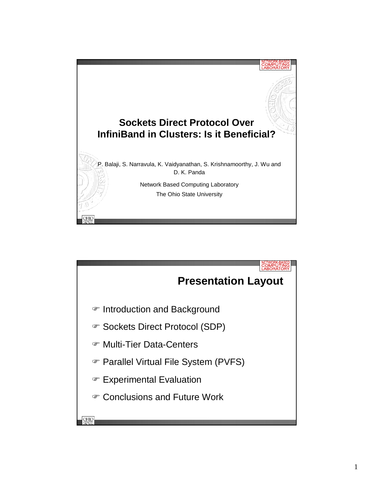

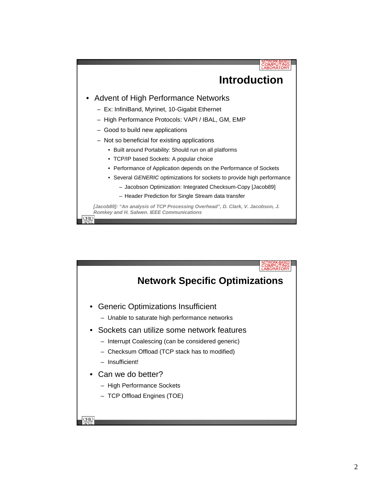

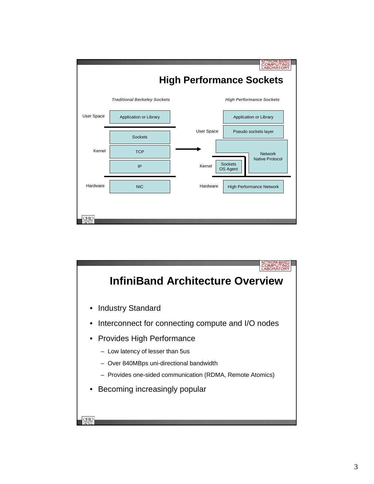

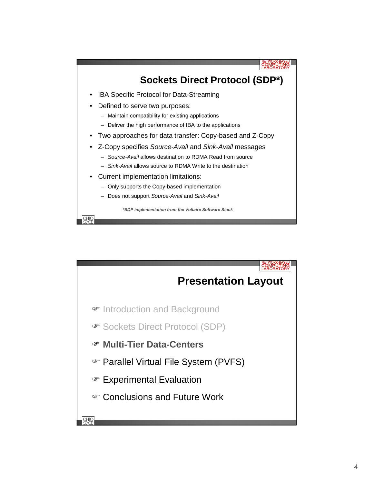

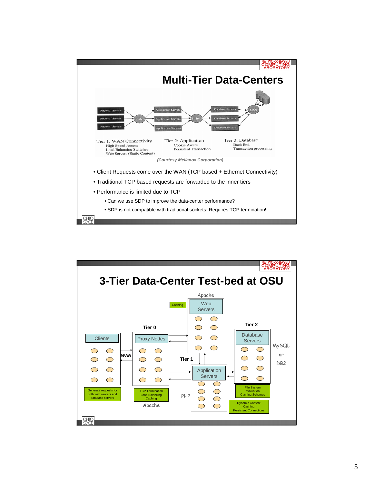

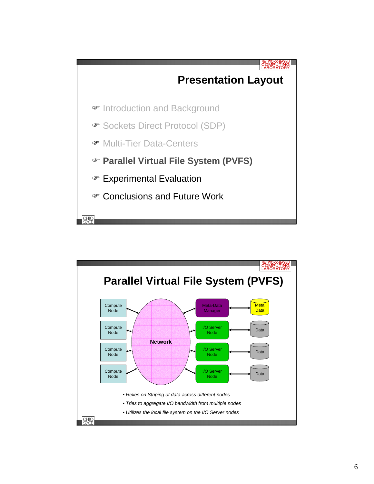

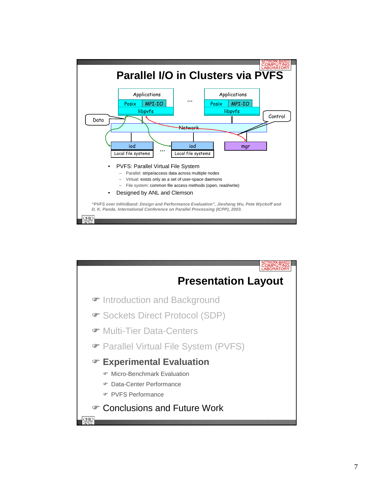

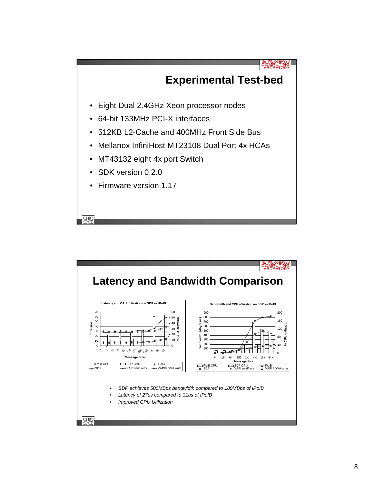

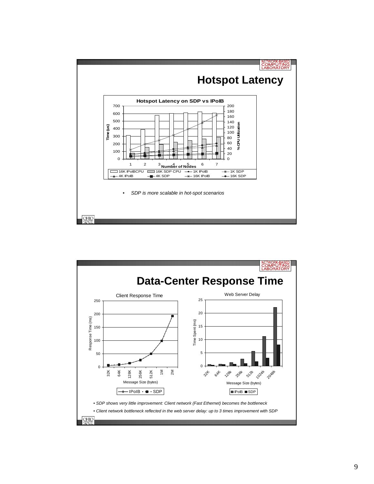

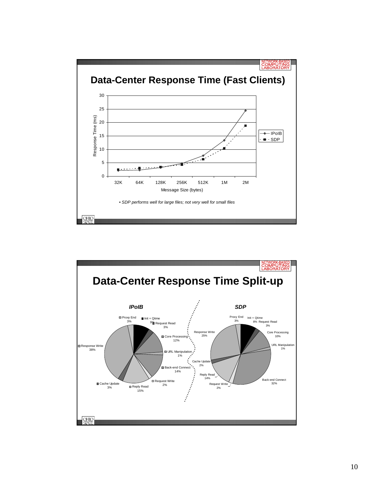

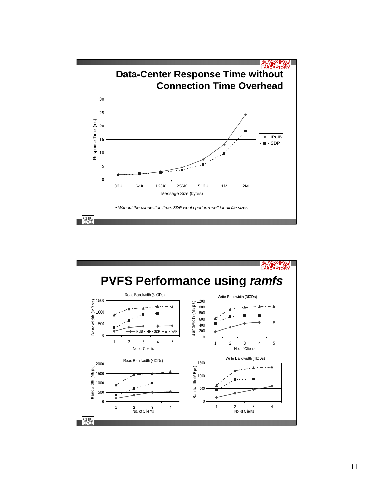

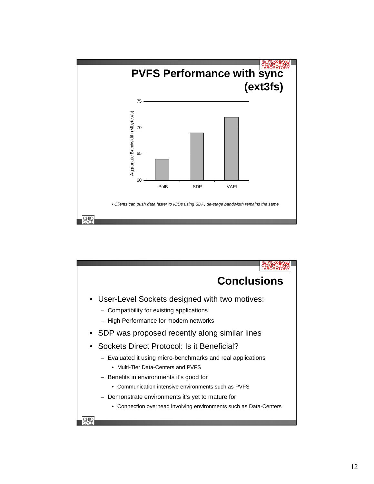

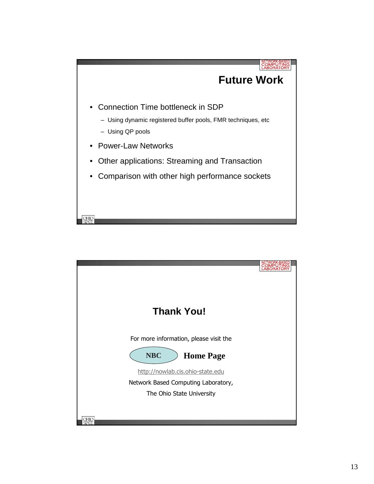

| <b>Thank You!</b>                      |  |
|----------------------------------------|--|
|                                        |  |
| For more information, please visit the |  |
| <b>NBC</b><br><b>Home Page</b>         |  |
| http://nowlab.cis.ohio-state.edu       |  |
| Network Based Computing Laboratory,    |  |
| The Ohio State University              |  |
|                                        |  |
|                                        |  |